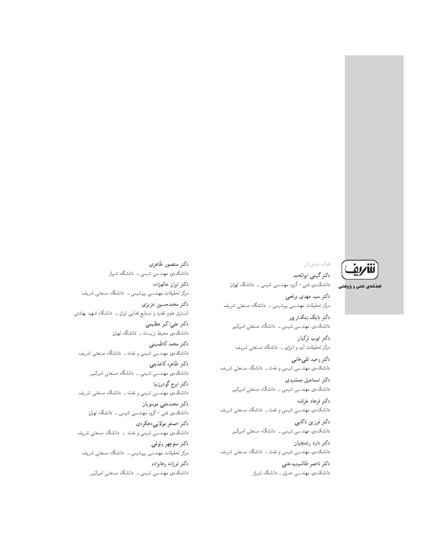فصلنامهی علمی و یژوهشی

دكتر منصور طاهري دانشکدهی مهندسی شیمی ــ دانشگاه شیراز دكتر ايران عالمزاده مرکز تحقیقات مهندسی بیوشیمی ــ دانشگاه صنعتی شریف دكتر محمدحسين عزيزى انستیتو علوم تغذیه و صنایع غذایی ایران ــ دانشگاه شهید بهشتی دكتر على اكبر عظيمى دانشکدهی محیط زیست ــ دانشگاه تهران دكتر محمد كاظميني دانشکدهی مهندسی شیمی و نفت ــ دانشگاه صنعتی شریف دكتر طاهره كاغذجى دانشکدهی مهندسی شیمی ــ دانشگاه صنعتی امیرکبیر دكتر ايرج گودرزنيا دانشکدهی مهندسی شیمی و نفت ــ دانشگاه صنعتی شریف دكتر محمدعلى موسويان دانشکدهی فنی -گروه مهندسی شیمی ــ دانشگاه تهران دکتر اصغر مولاییدهکردی دانشکدهی مهندسی شیمی و نفت \_ دانشگاه صنعتی شریف دكتر منوچهر وثوقى مرکز تحقیقات مهندسی بیوشیمی ــ دانشگاه صنعتی شریف دكتر فرزانه وهابزاده دانشکدهی مهندسی شیمی ــ دانشگاه صنعتی امیرکبیر

هيأت مشاوران دكتر گيتي ابوالحمد دانشکدهی فنبی -گروه مهندسی شیمی ــ دانشگاه تهران دکتر سید مهدی برقعی مرکز تحقیقات مهندسی بیوشیمی ــ دانشگاه صنعتی شریف دكتر بابك بنكدار پور دانشکدهی مهندسی شیمی ــ دانشگاه صنعتی امیرکبیر دكتر ايوب تركيان مرکز تحقیقات أب و انرژی ــ دانشگاه صنعتی شریف دکتر وحید تقی خانبی دانشکدهی مهندسی شیمی و نفت ــ دانشگاه صنعتی شریف دکتر اسماعیل جمشیدی دانشکدهی مهندسی شیمی ــ دانشگاه صنعتی امیرکبیر دكتر فرهاد خراشه دانشکدهی مهندسی شیمی و نفت ــ دانشگاه صنعتی شریف دکتر فرزین ذکابی دانشکدهی مهندسی شیمی ــ دانشگاه صنعتی امیرکبیر دكتر داود رشتچيان دانشکدهی مهندسی شیمی و نفت ــ دانشگاه صنعتی شریف

> دكتر ناصر طالب بيدختى دانشکدهی مهندسی عمران ــ دانشگاه شیراز